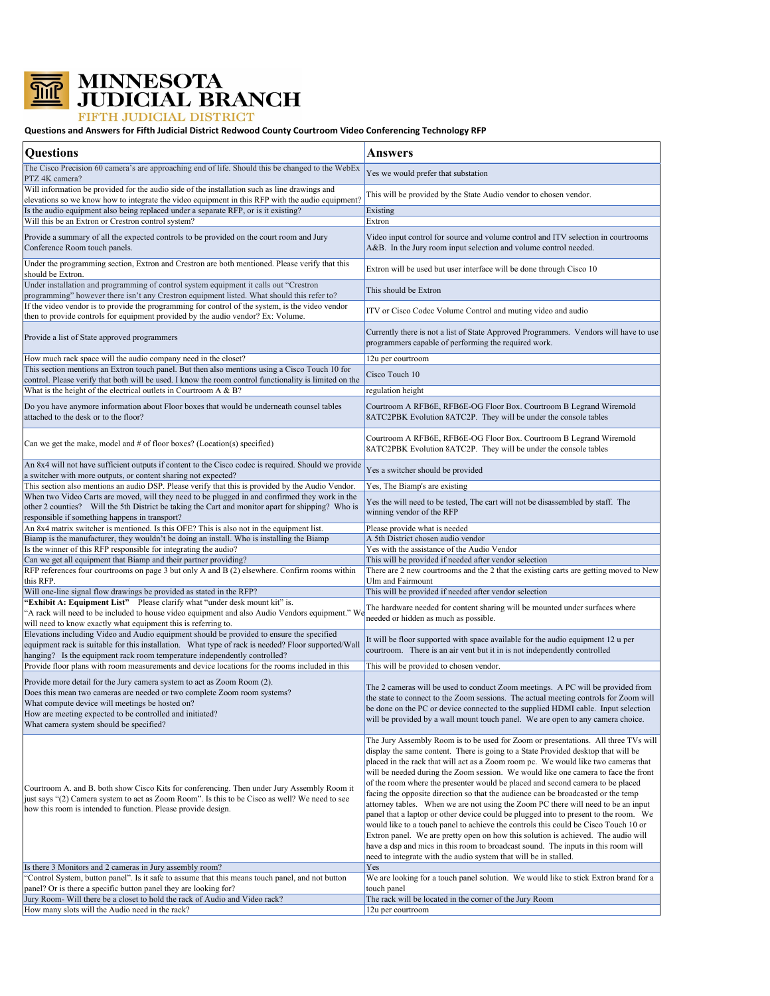

**MINNESOTA<br>JUDICIAL BRANCH** 

## FIFTH JUDICIAL DISTRICT

## **Questions and Answers for Fifth Judicial District Redwood County Courtroom Video Conferencing Technology RFP**

| <b>Questions</b>                                                                                                                                                                                                                                                                                                           | <b>Answers</b>                                                                                                                                                                                                                                                                                                                                                                                                                                                                                                                                                                                                                                                                                                                                                                                                                                                                                                                                                                                                                                      |
|----------------------------------------------------------------------------------------------------------------------------------------------------------------------------------------------------------------------------------------------------------------------------------------------------------------------------|-----------------------------------------------------------------------------------------------------------------------------------------------------------------------------------------------------------------------------------------------------------------------------------------------------------------------------------------------------------------------------------------------------------------------------------------------------------------------------------------------------------------------------------------------------------------------------------------------------------------------------------------------------------------------------------------------------------------------------------------------------------------------------------------------------------------------------------------------------------------------------------------------------------------------------------------------------------------------------------------------------------------------------------------------------|
| The Cisco Precision 60 camera's are approaching end of life. Should this be changed to the WebEx<br>PTZ 4K camera?                                                                                                                                                                                                         | Yes we would prefer that substation                                                                                                                                                                                                                                                                                                                                                                                                                                                                                                                                                                                                                                                                                                                                                                                                                                                                                                                                                                                                                 |
| Will information be provided for the audio side of the installation such as line drawings and<br>elevations so we know how to integrate the video equipment in this RFP with the audio equipment?                                                                                                                          | This will be provided by the State Audio vendor to chosen vendor.                                                                                                                                                                                                                                                                                                                                                                                                                                                                                                                                                                                                                                                                                                                                                                                                                                                                                                                                                                                   |
| Is the audio equipment also being replaced under a separate RFP, or is it existing?<br>Will this be an Extron or Crestron control system?                                                                                                                                                                                  | Existing<br>Extron                                                                                                                                                                                                                                                                                                                                                                                                                                                                                                                                                                                                                                                                                                                                                                                                                                                                                                                                                                                                                                  |
| Provide a summary of all the expected controls to be provided on the court room and Jury<br>Conference Room touch panels.                                                                                                                                                                                                  | Video input control for source and volume control and ITV selection in courtrooms<br>A&B. In the Jury room input selection and volume control needed.                                                                                                                                                                                                                                                                                                                                                                                                                                                                                                                                                                                                                                                                                                                                                                                                                                                                                               |
| Under the programming section, Extron and Crestron are both mentioned. Please verify that this<br>should be Extron.                                                                                                                                                                                                        | Extron will be used but user interface will be done through Cisco 10                                                                                                                                                                                                                                                                                                                                                                                                                                                                                                                                                                                                                                                                                                                                                                                                                                                                                                                                                                                |
| Under installation and programming of control system equipment it calls out "Crestron<br>programming" however there isn't any Crestron equipment listed. What should this refer to?                                                                                                                                        | This should be Extron                                                                                                                                                                                                                                                                                                                                                                                                                                                                                                                                                                                                                                                                                                                                                                                                                                                                                                                                                                                                                               |
| If the video vendor is to provide the programming for control of the system, is the video vendor<br>then to provide controls for equipment provided by the audio vendor? Ex: Volume.                                                                                                                                       | ITV or Cisco Codec Volume Control and muting video and audio                                                                                                                                                                                                                                                                                                                                                                                                                                                                                                                                                                                                                                                                                                                                                                                                                                                                                                                                                                                        |
| Provide a list of State approved programmers                                                                                                                                                                                                                                                                               | Currently there is not a list of State Approved Programmers. Vendors will have to use<br>programmers capable of performing the required work.                                                                                                                                                                                                                                                                                                                                                                                                                                                                                                                                                                                                                                                                                                                                                                                                                                                                                                       |
| How much rack space will the audio company need in the closet?                                                                                                                                                                                                                                                             | 12u per courtroom                                                                                                                                                                                                                                                                                                                                                                                                                                                                                                                                                                                                                                                                                                                                                                                                                                                                                                                                                                                                                                   |
| This section mentions an Extron touch panel. But then also mentions using a Cisco Touch 10 for                                                                                                                                                                                                                             | Cisco Touch 10                                                                                                                                                                                                                                                                                                                                                                                                                                                                                                                                                                                                                                                                                                                                                                                                                                                                                                                                                                                                                                      |
| control. Please verify that both will be used. I know the room control functionality is limited on the                                                                                                                                                                                                                     |                                                                                                                                                                                                                                                                                                                                                                                                                                                                                                                                                                                                                                                                                                                                                                                                                                                                                                                                                                                                                                                     |
| What is the height of the electrical outlets in Courtroom A & B?                                                                                                                                                                                                                                                           | regulation height                                                                                                                                                                                                                                                                                                                                                                                                                                                                                                                                                                                                                                                                                                                                                                                                                                                                                                                                                                                                                                   |
| Do you have anymore information about Floor boxes that would be underneath counsel tables<br>attached to the desk or to the floor?                                                                                                                                                                                         | Courtroom A RFB6E, RFB6E-OG Floor Box. Courtroom B Legrand Wiremold<br>8ATC2PBK Evolution 8ATC2P. They will be under the console tables                                                                                                                                                                                                                                                                                                                                                                                                                                                                                                                                                                                                                                                                                                                                                                                                                                                                                                             |
| Can we get the make, model and $#$ of floor boxes? (Location(s) specified)                                                                                                                                                                                                                                                 | Courtroom A RFB6E, RFB6E-OG Floor Box. Courtroom B Legrand Wiremold<br>8ATC2PBK Evolution 8ATC2P. They will be under the console tables                                                                                                                                                                                                                                                                                                                                                                                                                                                                                                                                                                                                                                                                                                                                                                                                                                                                                                             |
| An 8x4 will not have sufficient outputs if content to the Cisco codec is required. Should we provide<br>a switcher with more outputs, or content sharing not expected?                                                                                                                                                     | Yes a switcher should be provided                                                                                                                                                                                                                                                                                                                                                                                                                                                                                                                                                                                                                                                                                                                                                                                                                                                                                                                                                                                                                   |
| This section also mentions an audio DSP. Please verify that this is provided by the Audio Vendor.                                                                                                                                                                                                                          | Yes, The Biamp's are existing                                                                                                                                                                                                                                                                                                                                                                                                                                                                                                                                                                                                                                                                                                                                                                                                                                                                                                                                                                                                                       |
| When two Video Carts are moved, will they need to be plugged in and confirmed they work in the                                                                                                                                                                                                                             | Yes the will need to be tested, The cart will not be disassembled by staff. The                                                                                                                                                                                                                                                                                                                                                                                                                                                                                                                                                                                                                                                                                                                                                                                                                                                                                                                                                                     |
| other 2 counties? Will the 5th District be taking the Cart and monitor apart for shipping? Who is<br>responsible if something happens in transport?                                                                                                                                                                        | winning vendor of the RFP                                                                                                                                                                                                                                                                                                                                                                                                                                                                                                                                                                                                                                                                                                                                                                                                                                                                                                                                                                                                                           |
| An 8x4 matrix switcher is mentioned. Is this OFE? This is also not in the equipment list.                                                                                                                                                                                                                                  | Please provide what is needed                                                                                                                                                                                                                                                                                                                                                                                                                                                                                                                                                                                                                                                                                                                                                                                                                                                                                                                                                                                                                       |
| Biamp is the manufacturer, they wouldn't be doing an install. Who is installing the Biamp                                                                                                                                                                                                                                  | A 5th District chosen audio vendor                                                                                                                                                                                                                                                                                                                                                                                                                                                                                                                                                                                                                                                                                                                                                                                                                                                                                                                                                                                                                  |
| Is the winner of this RFP responsible for integrating the audio?                                                                                                                                                                                                                                                           | Yes with the assistance of the Audio Vendor                                                                                                                                                                                                                                                                                                                                                                                                                                                                                                                                                                                                                                                                                                                                                                                                                                                                                                                                                                                                         |
| Can we get all equipment that Biamp and their partner providing?                                                                                                                                                                                                                                                           | This will be provided if needed after vendor selection                                                                                                                                                                                                                                                                                                                                                                                                                                                                                                                                                                                                                                                                                                                                                                                                                                                                                                                                                                                              |
| RFP references four courtrooms on page 3 but only A and B (2) elsewhere. Confirm rooms within<br>this RFP.                                                                                                                                                                                                                 | There are 2 new courtrooms and the 2 that the existing carts are getting moved to New                                                                                                                                                                                                                                                                                                                                                                                                                                                                                                                                                                                                                                                                                                                                                                                                                                                                                                                                                               |
| Will one-line signal flow drawings be provided as stated in the RFP?                                                                                                                                                                                                                                                       | Ulm and Fairmount<br>This will be provided if needed after vendor selection                                                                                                                                                                                                                                                                                                                                                                                                                                                                                                                                                                                                                                                                                                                                                                                                                                                                                                                                                                         |
| "Exhibit A: Equipment List" Please clarify what "under desk mount kit" is.                                                                                                                                                                                                                                                 |                                                                                                                                                                                                                                                                                                                                                                                                                                                                                                                                                                                                                                                                                                                                                                                                                                                                                                                                                                                                                                                     |
| A rack will need to be included to house video equipment and also Audio Vendors equipment." We<br>will need to know exactly what equipment this is referring to.                                                                                                                                                           | The hardware needed for content sharing will be mounted under surfaces where<br>needed or hidden as much as possible.                                                                                                                                                                                                                                                                                                                                                                                                                                                                                                                                                                                                                                                                                                                                                                                                                                                                                                                               |
| Elevations including Video and Audio equipment should be provided to ensure the specified<br>equipment rack is suitable for this installation. What type of rack is needed? Floor supported/Wall<br>hanging? Is the equipment rack room temperature independently controlled?                                              | It will be floor supported with space available for the audio equipment 12 u per<br>courtroom. There is an air vent but it in is not independently controlled                                                                                                                                                                                                                                                                                                                                                                                                                                                                                                                                                                                                                                                                                                                                                                                                                                                                                       |
| Provide floor plans with room measurements and device locations for the rooms included in this                                                                                                                                                                                                                             | This will be provided to chosen vendor.                                                                                                                                                                                                                                                                                                                                                                                                                                                                                                                                                                                                                                                                                                                                                                                                                                                                                                                                                                                                             |
| Provide more detail for the Jury camera system to act as Zoom Room (2).<br>Does this mean two cameras are needed or two complete Zoom room systems?<br>What compute device will meetings be hosted on?<br>How are meeting expected to be controlled and initiated?<br>What camera system should be specified?              | The 2 cameras will be used to conduct Zoom meetings. A PC will be provided from<br>the state to connect to the Zoom sessions. The actual meeting controls for Zoom will<br>be done on the PC or device connected to the supplied HDMI cable. Input selection<br>will be provided by a wall mount touch panel. We are open to any camera choice.                                                                                                                                                                                                                                                                                                                                                                                                                                                                                                                                                                                                                                                                                                     |
| Courtroom A. and B. both show Cisco Kits for conferencing. Then under Jury Assembly Room it<br>just says "(2) Camera system to act as Zoom Room". Is this to be Cisco as well? We need to see<br>how this room is intended to function. Please provide design.<br>Is there 3 Monitors and 2 cameras in Jury assembly room? | The Jury Assembly Room is to be used for Zoom or presentations. All three TVs will<br>display the same content. There is going to a State Provided desktop that will be<br>placed in the rack that will act as a Zoom room pc. We would like two cameras that<br>will be needed during the Zoom session. We would like one camera to face the front<br>of the room where the presenter would be placed and second camera to be placed<br>facing the opposite direction so that the audience can be broadcasted or the temp<br>attorney tables. When we are not using the Zoom PC there will need to be an input<br>panel that a laptop or other device could be plugged into to present to the room. We<br>would like to a touch panel to achieve the controls this could be Cisco Touch 10 or<br>Extron panel. We are pretty open on how this solution is achieved. The audio will<br>have a dsp and mics in this room to broadcast sound. The inputs in this room will<br>need to integrate with the audio system that will be in stalled.<br>Yes |
| "Control System, button panel". Is it safe to assume that this means touch panel, and not button                                                                                                                                                                                                                           | We are looking for a touch panel solution. We would like to stick Extron brand for a                                                                                                                                                                                                                                                                                                                                                                                                                                                                                                                                                                                                                                                                                                                                                                                                                                                                                                                                                                |
| panel? Or is there a specific button panel they are looking for?                                                                                                                                                                                                                                                           | touch panel                                                                                                                                                                                                                                                                                                                                                                                                                                                                                                                                                                                                                                                                                                                                                                                                                                                                                                                                                                                                                                         |
| Jury Room- Will there be a closet to hold the rack of Audio and Video rack?                                                                                                                                                                                                                                                | The rack will be located in the corner of the Jury Room                                                                                                                                                                                                                                                                                                                                                                                                                                                                                                                                                                                                                                                                                                                                                                                                                                                                                                                                                                                             |
| How many slots will the Audio need in the rack?                                                                                                                                                                                                                                                                            | 12u per courtroom                                                                                                                                                                                                                                                                                                                                                                                                                                                                                                                                                                                                                                                                                                                                                                                                                                                                                                                                                                                                                                   |